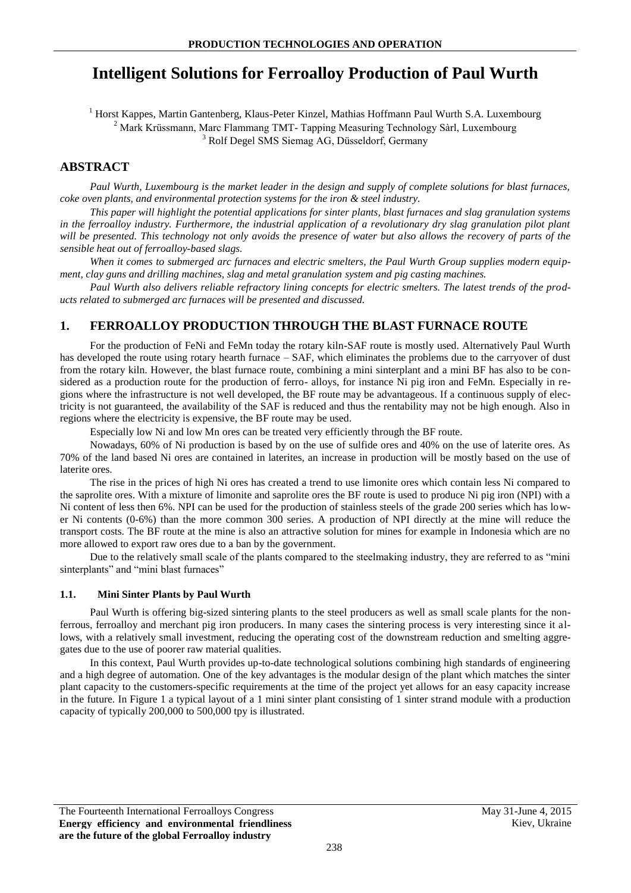# **Intelligent Solutions for Ferroalloy Production of Paul Wurth**

<sup>1</sup> Horst Kappes, Martin Gantenberg, Klaus-Peter Kinzel, Mathias Hoffmann Paul Wurth S.A. Luxembourg <sup>2</sup> Mark Krüssmann, Marc Flammang TMT- Tapping Measuring Technology Sàrl, Luxembourg <sup>3</sup> Rolf Degel SMS Siemag AG, Düsseldorf, Germany

# **ABSTRACT**

*Paul Wurth, Luxembourg is the market leader in the design and supply of complete solutions for blast furnaces, coke oven plants, and environmental protection systems for the iron & steel industry.*

*This paper will highlight the potential applications for sinter plants, blast furnaces and slag granulation systems in the ferroalloy industry. Furthermore, the industrial application of a revolutionary dry slag granulation pilot plant will be presented. This technology not only avoids the presence of water but also allows the recovery of parts of the sensible heat out of ferroalloy-based slags.*

*When it comes to submerged arc furnaces and electric smelters, the Paul Wurth Group supplies modern equipment, clay guns and drilling machines, slag and metal granulation system and pig casting machines.*

*Paul Wurth also delivers reliable refractory lining concepts for electric smelters. The latest trends of the products related to submerged arc furnaces will be presented and discussed.*

# **1. FERROALLOY PRODUCTION THROUGH THE BLAST FURNACE ROUTE**

For the production of FeNi and FeMn today the rotary kiln-SAF route is mostly used. Alternatively Paul Wurth has developed the route using rotary hearth furnace – SAF, which eliminates the problems due to the carryover of dust from the rotary kiln. However, the blast furnace route, combining a mini sinterplant and a mini BF has also to be considered as a production route for the production of ferro- alloys, for instance Ni pig iron and FeMn. Especially in regions where the infrastructure is not well developed, the BF route may be advantageous. If a continuous supply of electricity is not guaranteed, the availability of the SAF is reduced and thus the rentability may not be high enough. Also in regions where the electricity is expensive, the BF route may be used.

Especially low Ni and low Mn ores can be treated very efficiently through the BF route.

Nowadays, 60% of Ni production is based by on the use of sulfide ores and 40% on the use of laterite ores. As 70% of the land based Ni ores are contained in laterites, an increase in production will be mostly based on the use of laterite ores.

The rise in the prices of high Ni ores has created a trend to use limonite ores which contain less Ni compared to the saprolite ores. With a mixture of limonite and saprolite ores the BF route is used to produce Ni pig iron (NPI) with a Ni content of less then 6%. NPI can be used for the production of stainless steels of the grade 200 series which has lower Ni contents (0-6%) than the more common 300 series. A production of NPI directly at the mine will reduce the transport costs. The BF route at the mine is also an attractive solution for mines for example in Indonesia which are no more allowed to export raw ores due to a ban by the government.

Due to the relatively small scale of the plants compared to the steelmaking industry, they are referred to as "mini sinterplants" and "mini blast furnaces"

#### **1.1. Mini Sinter Plants by Paul Wurth**

Paul Wurth is offering big-sized sintering plants to the steel producers as well as small scale plants for the nonferrous, ferroalloy and merchant pig iron producers. In many cases the sintering process is very interesting since it allows, with a relatively small investment, reducing the operating cost of the downstream reduction and smelting aggregates due to the use of poorer raw material qualities.

In this context, Paul Wurth provides up-to-date technological solutions combining high standards of engineering and a high degree of automation. One of the key advantages is the modular design of the plant which matches the sinter plant capacity to the customers-specific requirements at the time of the project yet allows for an easy capacity increase in the future. In Figure 1 a typical layout of a 1 mini sinter plant consisting of 1 sinter strand module with a production capacity of typically 200,000 to 500,000 tpy is illustrated.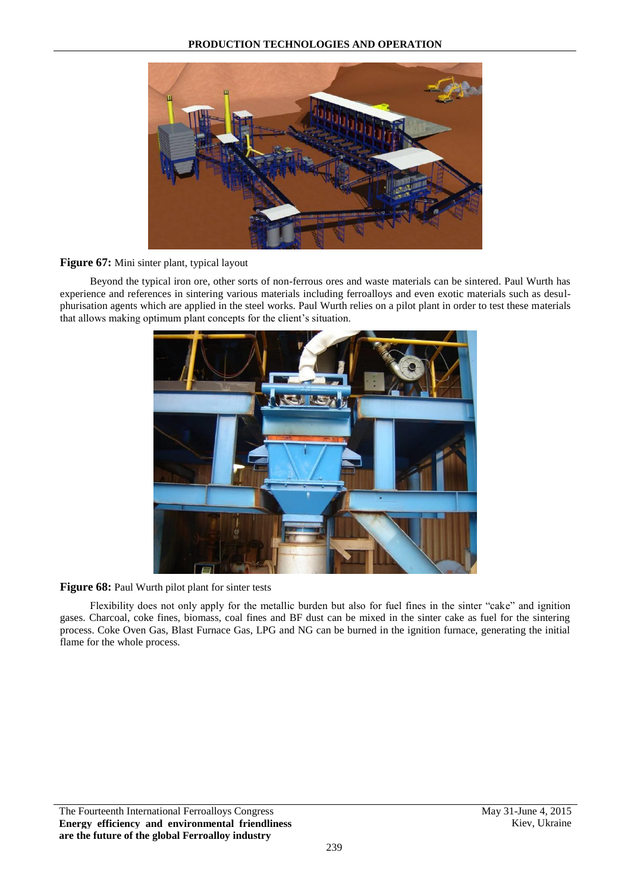

#### **Figure 67:** Mini sinter plant, typical layout

Beyond the typical iron ore, other sorts of non-ferrous ores and waste materials can be sintered. Paul Wurth has experience and references in sintering various materials including ferroalloys and even exotic materials such as desulphurisation agents which are applied in the steel works. Paul Wurth relies on a pilot plant in order to test these materials that allows making optimum plant concepts for the client's situation.



### Figure 68: Paul Wurth pilot plant for sinter tests

Flexibility does not only apply for the metallic burden but also for fuel fines in the sinter "cake" and ignition gases. Charcoal, coke fines, biomass, coal fines and BF dust can be mixed in the sinter cake as fuel for the sintering process. Coke Oven Gas, Blast Furnace Gas, LPG and NG can be burned in the ignition furnace, generating the initial flame for the whole process.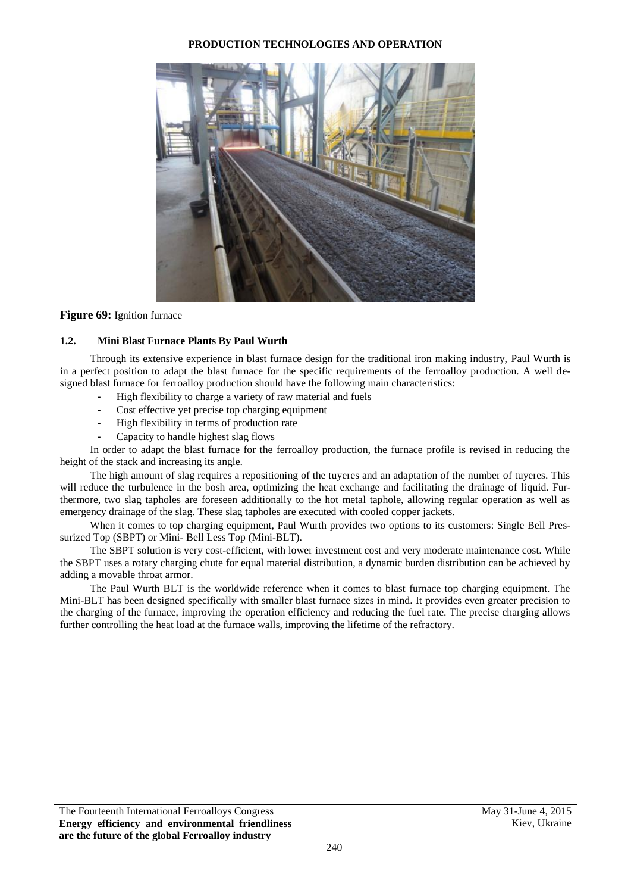

**Figure 69:** Ignition furnace

#### **1.2. Mini Blast Furnace Plants By Paul Wurth**

Through its extensive experience in blast furnace design for the traditional iron making industry, Paul Wurth is in a perfect position to adapt the blast furnace for the specific requirements of the ferroalloy production. A well designed blast furnace for ferroalloy production should have the following main characteristics:

- High flexibility to charge a variety of raw material and fuels
- Cost effective yet precise top charging equipment
- High flexibility in terms of production rate
- Capacity to handle highest slag flows

In order to adapt the blast furnace for the ferroalloy production, the furnace profile is revised in reducing the height of the stack and increasing its angle.

The high amount of slag requires a repositioning of the tuyeres and an adaptation of the number of tuyeres. This will reduce the turbulence in the bosh area, optimizing the heat exchange and facilitating the drainage of liquid. Furthermore, two slag tapholes are foreseen additionally to the hot metal taphole, allowing regular operation as well as emergency drainage of the slag. These slag tapholes are executed with cooled copper jackets.

When it comes to top charging equipment, Paul Wurth provides two options to its customers: Single Bell Pressurized Top (SBPT) or Mini- Bell Less Top (Mini-BLT).

The SBPT solution is very cost-efficient, with lower investment cost and very moderate maintenance cost. While the SBPT uses a rotary charging chute for equal material distribution, a dynamic burden distribution can be achieved by adding a movable throat armor.

The Paul Wurth BLT is the worldwide reference when it comes to blast furnace top charging equipment. The Mini-BLT has been designed specifically with smaller blast furnace sizes in mind. It provides even greater precision to the charging of the furnace, improving the operation efficiency and reducing the fuel rate. The precise charging allows further controlling the heat load at the furnace walls, improving the lifetime of the refractory.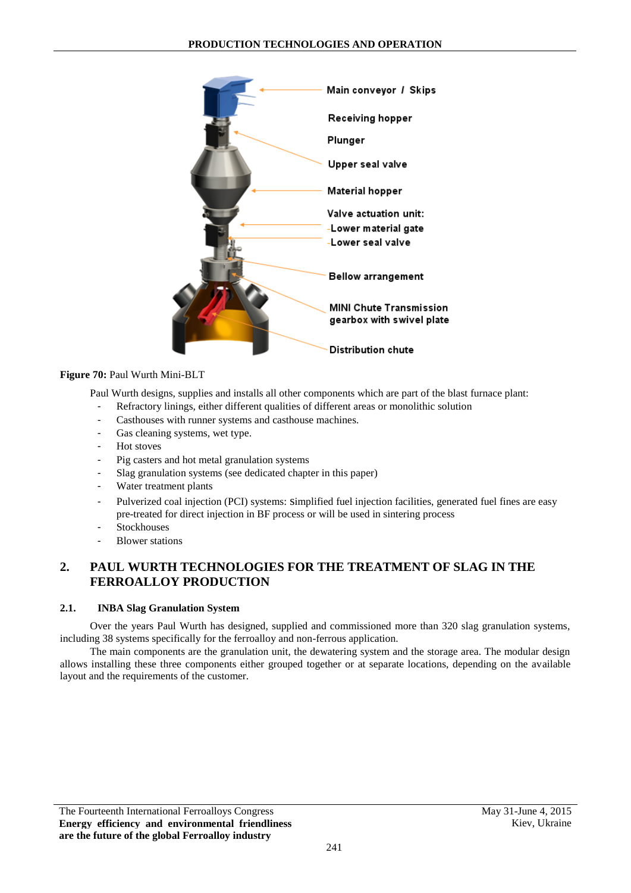

### **Figure 70:** Paul Wurth Mini-BLT

Paul Wurth designs, supplies and installs all other components which are part of the blast furnace plant:

- Refractory linings, either different qualities of different areas or monolithic solution
- Casthouses with runner systems and casthouse machines.
- Gas cleaning systems, wet type.
- Hot stoves
- Pig casters and hot metal granulation systems
- Slag granulation systems (see dedicated chapter in this paper)
- Water treatment plants
- Pulverized coal injection (PCI) systems: simplified fuel injection facilities, generated fuel fines are easy pre-treated for direct injection in BF process or will be used in sintering process
- **Stockhouses**
- **Blower stations**

# **2. PAUL WURTH TECHNOLOGIES FOR THE TREATMENT OF SLAG IN THE FERROALLOY PRODUCTION**

#### **2.1. INBA Slag Granulation System**

Over the years Paul Wurth has designed, supplied and commissioned more than 320 slag granulation systems, including 38 systems specifically for the ferroalloy and non-ferrous application.

The main components are the granulation unit, the dewatering system and the storage area. The modular design allows installing these three components either grouped together or at separate locations, depending on the available layout and the requirements of the customer.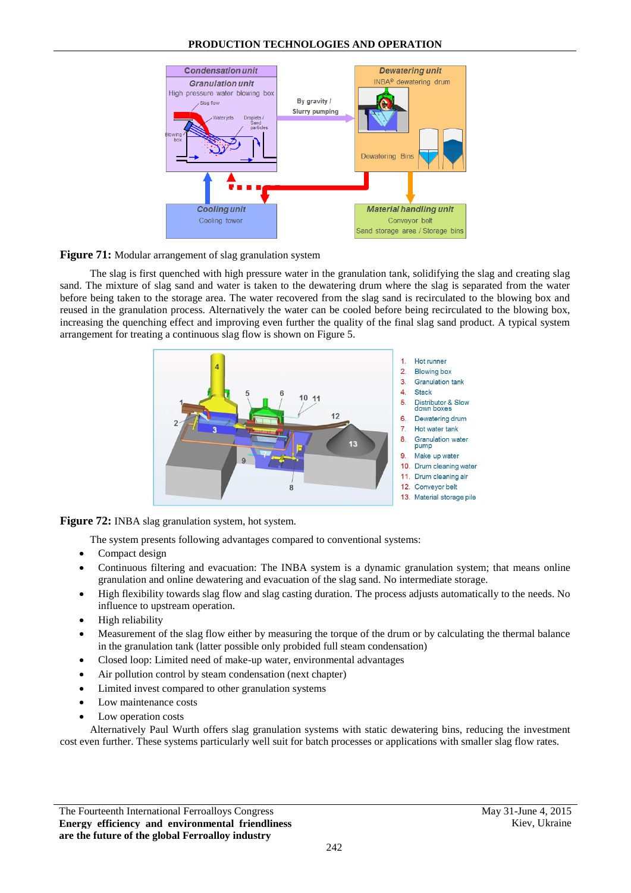



The slag is first quenched with high pressure water in the granulation tank, solidifying the slag and creating slag sand. The mixture of slag sand and water is taken to the dewatering drum where the slag is separated from the water before being taken to the storage area. The water recovered from the slag sand is recirculated to the blowing box and reused in the granulation process. Alternatively the water can be cooled before being recirculated to the blowing box, increasing the quenching effect and improving even further the quality of the final slag sand product. A typical system arrangement for treating a continuous slag flow is shown on Figure 5.



**Figure 72:** INBA slag granulation system, hot system.

The system presents following advantages compared to conventional systems:

- Compact design
- Continuous filtering and evacuation: The INBA system is a dynamic granulation system; that means online granulation and online dewatering and evacuation of the slag sand. No intermediate storage.
- High flexibility towards slag flow and slag casting duration. The process adjusts automatically to the needs. No influence to upstream operation.
- High reliability
- Measurement of the slag flow either by measuring the torque of the drum or by calculating the thermal balance in the granulation tank (latter possible only probided full steam condensation)
- Closed loop: Limited need of make-up water, environmental advantages
- Air pollution control by steam condensation (next chapter)
- Limited invest compared to other granulation systems
- Low maintenance costs
- Low operation costs

Alternatively Paul Wurth offers slag granulation systems with static dewatering bins, reducing the investment cost even further. These systems particularly well suit for batch processes or applications with smaller slag flow rates.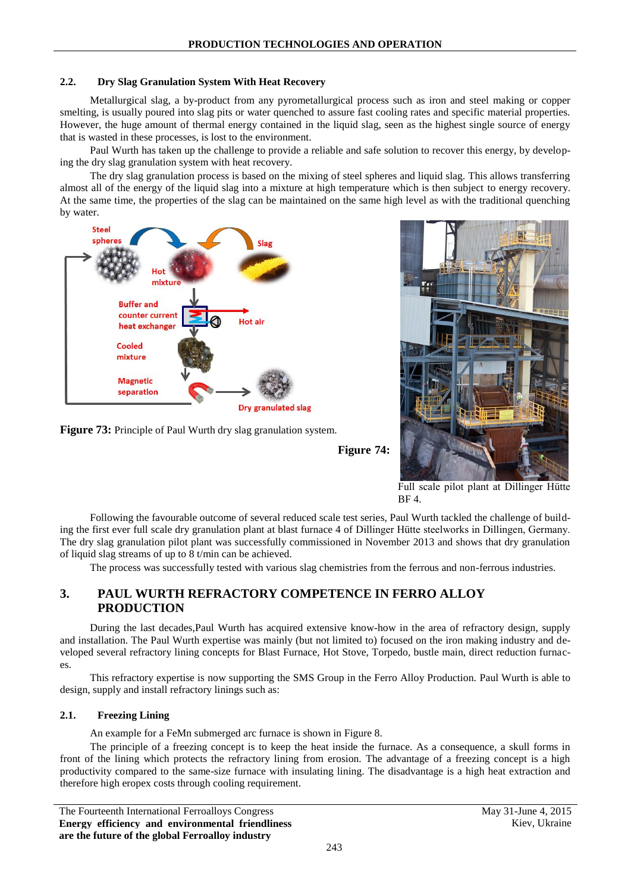### **2.2. Dry Slag Granulation System With Heat Recovery**

Metallurgical slag, a by-product from any pyrometallurgical process such as iron and steel making or copper smelting, is usually poured into slag pits or water quenched to assure fast cooling rates and specific material properties. However, the huge amount of thermal energy contained in the liquid slag, seen as the highest single source of energy that is wasted in these processes, is lost to the environment.

Paul Wurth has taken up the challenge to provide a reliable and safe solution to recover this energy, by developing the dry slag granulation system with heat recovery.

The dry slag granulation process is based on the mixing of steel spheres and liquid slag. This allows transferring almost all of the energy of the liquid slag into a mixture at high temperature which is then subject to energy recovery. At the same time, the properties of the slag can be maintained on the same high level as with the traditional quenching by water.









Full scale pilot plant at Dillinger Hütte BF 4.

Following the favourable outcome of several reduced scale test series, Paul Wurth tackled the challenge of building the first ever full scale dry granulation plant at blast furnace 4 of Dillinger Hütte steelworks in Dillingen, Germany. The dry slag granulation pilot plant was successfully commissioned in November 2013 and shows that dry granulation of liquid slag streams of up to 8 t/min can be achieved.

The process was successfully tested with various slag chemistries from the ferrous and non-ferrous industries.

# **3. PAUL WURTH REFRACTORY COMPETENCE IN FERRO ALLOY PRODUCTION**

During the last decades,Paul Wurth has acquired extensive know-how in the area of refractory design, supply and installation. The Paul Wurth expertise was mainly (but not limited to) focused on the iron making industry and developed several refractory lining concepts for Blast Furnace, Hot Stove, Torpedo, bustle main, direct reduction furnaces.

This refractory expertise is now supporting the SMS Group in the Ferro Alloy Production. Paul Wurth is able to design, supply and install refractory linings such as:

#### **2.1. Freezing Lining**

An example for a FeMn submerged arc furnace is shown in Figure 8.

The principle of a freezing concept is to keep the heat inside the furnace. As a consequence, a skull forms in front of the lining which protects the refractory lining from erosion. The advantage of a freezing concept is a high productivity compared to the same-size furnace with insulating lining. The disadvantage is a high heat extraction and therefore high eropex costs through cooling requirement.

The Fourteenth International Ferroalloys Congress May 31-June 4, 2015 **Energy efficiency and environmental friendliness are the future of the global Ferroalloy industry**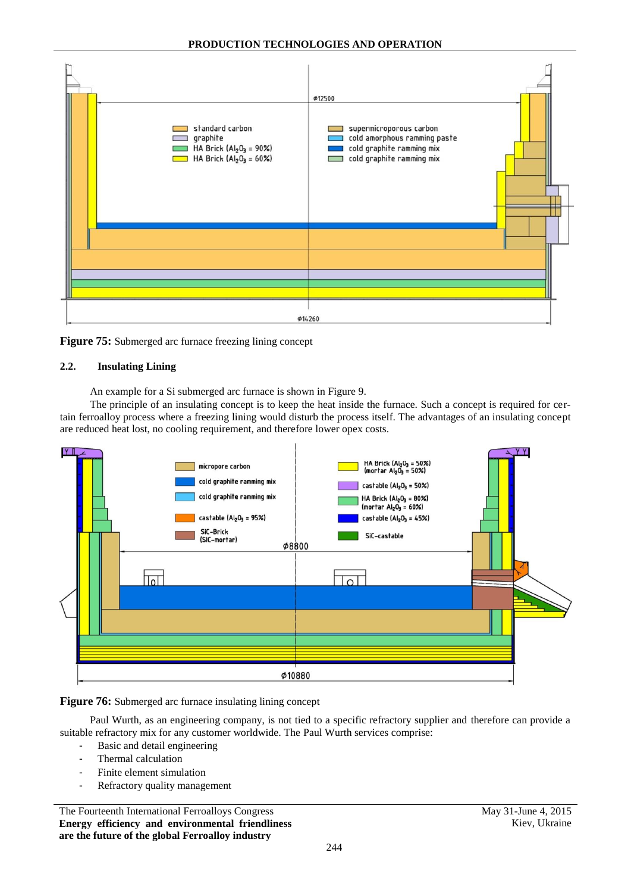

**Figure 75:** Submerged arc furnace freezing lining concept

### **2.2. Insulating Lining**

An example for a Si submerged arc furnace is shown in Figure 9.

The principle of an insulating concept is to keep the heat inside the furnace. Such a concept is required for certain ferroalloy process where a freezing lining would disturb the process itself. The advantages of an insulating concept are reduced heat lost, no cooling requirement, and therefore lower opex costs.



### Figure 76: Submerged arc furnace insulating lining concept

Paul Wurth, as an engineering company, is not tied to a specific refractory supplier and therefore can provide a suitable refractory mix for any customer worldwide. The Paul Wurth services comprise:

- Basic and detail engineering
- Thermal calculation
- Finite element simulation
- Refractory quality management

The Fourteenth International Ferroalloys Congress May 31-June 4, 2015 **Energy efficiency and environmental friendliness are the future of the global Ferroalloy industry**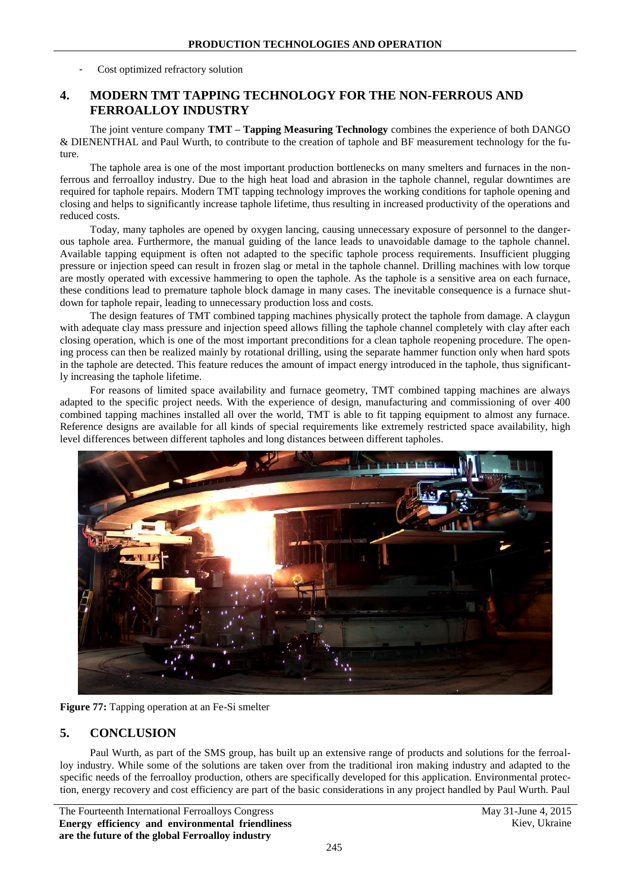Cost optimized refractory solution

# **4. MODERN TMT TAPPING TECHNOLOGY FOR THE NON-FERROUS AND FERROALLOY INDUSTRY**

The joint venture company **TMT – Tapping Measuring Technology** combines the experience of both DANGO & DIENENTHAL and Paul Wurth, to contribute to the creation of taphole and BF measurement technology for the future.

The taphole area is one of the most important production bottlenecks on many smelters and furnaces in the nonferrous and ferroalloy industry. Due to the high heat load and abrasion in the taphole channel, regular downtimes are required for taphole repairs. Modern TMT tapping technology improves the working conditions for taphole opening and closing and helps to significantly increase taphole lifetime, thus resulting in increased productivity of the operations and reduced costs.

Today, many tapholes are opened by oxygen lancing, causing unnecessary exposure of personnel to the dangerous taphole area. Furthermore, the manual guiding of the lance leads to unavoidable damage to the taphole channel. Available tapping equipment is often not adapted to the specific taphole process requirements. Insufficient plugging pressure or injection speed can result in frozen slag or metal in the taphole channel. Drilling machines with low torque are mostly operated with excessive hammering to open the taphole. As the taphole is a sensitive area on each furnace, these conditions lead to premature taphole block damage in many cases. The inevitable consequence is a furnace shutdown for taphole repair, leading to unnecessary production loss and costs.

The design features of TMT combined tapping machines physically protect the taphole from damage. A claygun with adequate clay mass pressure and injection speed allows filling the taphole channel completely with clay after each closing operation, which is one of the most important preconditions for a clean taphole reopening procedure. The opening process can then be realized mainly by rotational drilling, using the separate hammer function only when hard spots in the taphole are detected. This feature reduces the amount of impact energy introduced in the taphole, thus significantly increasing the taphole lifetime.

For reasons of limited space availability and furnace geometry, TMT combined tapping machines are always adapted to the specific project needs. With the experience of design, manufacturing and commissioning of over 400 combined tapping machines installed all over the world, TMT is able to fit tapping equipment to almost any furnace. Reference designs are available for all kinds of special requirements like extremely restricted space availability, high level differences between different tapholes and long distances between different tapholes.



**Figure 77:** Tapping operation at an Fe-Si smelter

## **5. CONCLUSION**

Paul Wurth, as part of the SMS group, has built up an extensive range of products and solutions for the ferroalloy industry. While some of the solutions are taken over from the traditional iron making industry and adapted to the specific needs of the ferroalloy production, others are specifically developed for this application. Environmental protection, energy recovery and cost efficiency are part of the basic considerations in any project handled by Paul Wurth. Paul

The Fourteenth International Ferroalloys Congress May 31-June 4, 2015 **Energy efficiency and environmental friendliness are the future of the global Ferroalloy industry**

Kiev, Ukraine